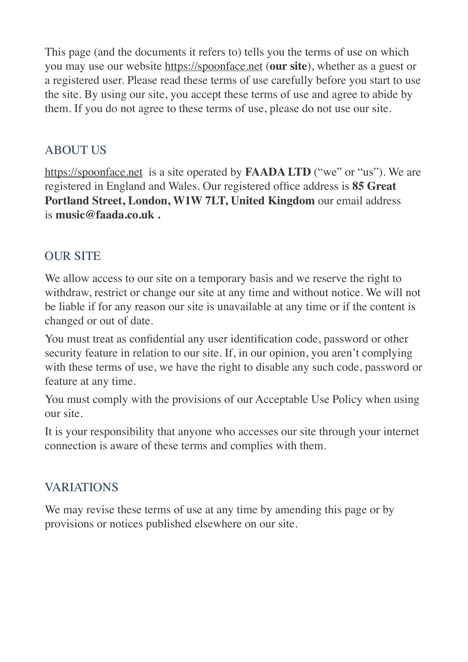This page (and the documents it refers to) tells you the terms of use on which you may use our website <https://spoonface.net> (**our site**), whether as a guest or a registered user. Please read these terms of use carefully before you start to use the site. By using our site, you accept these terms of use and agree to abide by them. If you do not agree to these terms of use, please do not use our site.

#### ABOUT US

<https://spoonface.net> is a site operated by **FAADA LTD** ("we" or "us"). We are registered in England and Wales. Our registered office address is **85 Great Portland Street, London, W1W 7LT, United Kingdom** our email address is **music@faada.co.uk .**

### **OUR SITE**

We allow access to our site on a temporary basis and we reserve the right to withdraw, restrict or change our site at any time and without notice. We will not be liable if for any reason our site is unavailable at any time or if the content is changed or out of date.

You must treat as confidential any user identification code, password or other security feature in relation to our site. If, in our opinion, you aren't complying with these terms of use, we have the right to disable any such code, password or feature at any time.

You must comply with the provisions of our Acceptable Use Policy when using our site.

It is your responsibility that anyone who accesses our site through your internet connection is aware of these terms and complies with them.

#### VARIATIONS

We may revise these terms of use at any time by amending this page or by provisions or notices published elsewhere on our site.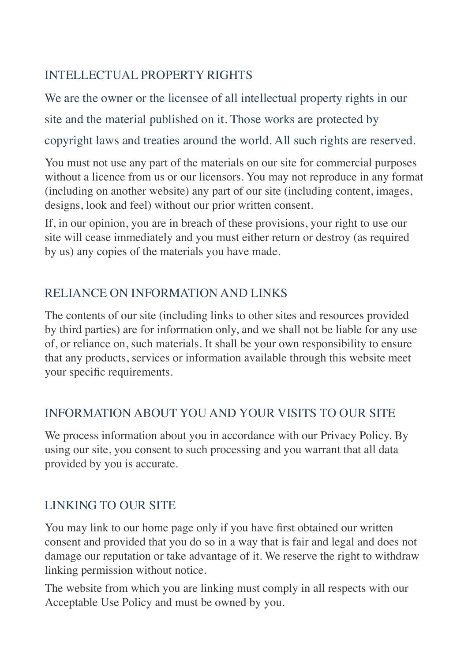## INTELLECTUAL PROPERTY RIGHTS

We are the owner or the licensee of all intellectual property rights in our

site and the material published on it. Those works are protected by

copyright laws and treaties around the world. All such rights are reserved.

You must not use any part of the materials on our site for commercial purposes without a licence from us or our licensors. You may not reproduce in any format (including on another website) any part of our site (including content, images, designs, look and feel) without our prior written consent.

If, in our opinion, you are in breach of these provisions, your right to use our site will cease immediately and you must either return or destroy (as required by us) any copies of the materials you have made.

# RELIANCE ON INFORMATION AND LINKS

The contents of our site (including links to other sites and resources provided by third parties) are for information only, and we shall not be liable for any use of, or reliance on, such materials. It shall be your own responsibility to ensure that any products, services or information available through this website meet your specific requirements.

### INFORMATION ABOUT YOU AND YOUR VISITS TO OUR SITE

We process information about you in accordance with our Privacy Policy. By using our site, you consent to such processing and you warrant that all data provided by you is accurate.

# LINKING TO OUR SITE

You may link to our home page only if you have first obtained our written consent and provided that you do so in a way that is fair and legal and does not damage our reputation or take advantage of it. We reserve the right to withdraw linking permission without notice.

The website from which you are linking must comply in all respects with our Acceptable Use Policy and must be owned by you.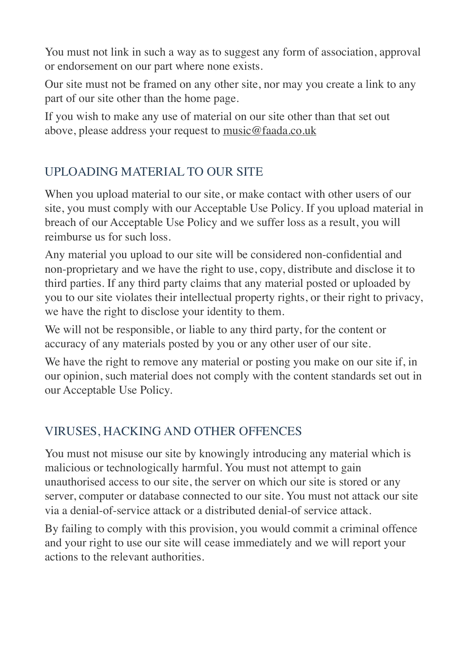You must not link in such a way as to suggest any form of association, approval or endorsement on our part where none exists.

Our site must not be framed on any other site, nor may you create a link to any part of our site other than the home page.

If you wish to make any use of material on our site other than that set out above, please address your request to [music@faada.co.uk](mailto:music@faada.co.uk)

## UPLOADING MATERIAL TO OUR SITE

When you upload material to our site, or make contact with other users of our site, you must comply with our Acceptable Use Policy. If you upload material in breach of our Acceptable Use Policy and we suffer loss as a result, you will reimburse us for such loss.

Any material you upload to our site will be considered non-confidential and non-proprietary and we have the right to use, copy, distribute and disclose it to third parties. If any third party claims that any material posted or uploaded by you to our site violates their intellectual property rights, or their right to privacy, we have the right to disclose your identity to them.

We will not be responsible, or liable to any third party, for the content or accuracy of any materials posted by you or any other user of our site.

We have the right to remove any material or posting you make on our site if, in our opinion, such material does not comply with the content standards set out in our Acceptable Use Policy.

### VIRUSES, HACKING AND OTHER OFFENCES

You must not misuse our site by knowingly introducing any material which is malicious or technologically harmful. You must not attempt to gain unauthorised access to our site, the server on which our site is stored or any server, computer or database connected to our site. You must not attack our site via a denial-of-service attack or a distributed denial-of service attack.

By failing to comply with this provision, you would commit a criminal offence and your right to use our site will cease immediately and we will report your actions to the relevant authorities.